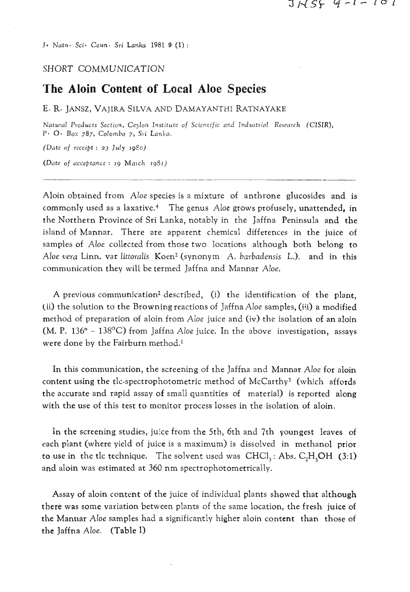4. *Nam- Sci- Cotcn. Sri Lanka* **1981** *9* **(1)** :

## SHORT COMMUNICATION

# **The Aloin Content of Local Aloe Species**

#### **E.** Re JANSZ, VAJIRA **SILVA** AND DAMAYANTHI RATNAYAKE

*Natural Products Section, Ceylon Institute of Scientific and Industrial Research (CISIR),* P- 0. *Box 787, Colombo 7,* **Ssi** *Lankn.* 

*(Date of receipt* : **23** *J~ily* **IQSG)** 

*(Dilte of acceptance* : **19** *March 1981)* 

Aloin obtained from Aloe species is a mixture of anthrone glucosides and is commonly used as a laxative.4 The genus Aloe grows profusely, unattended, in the Northern Province of Sri Lanka, notably in the Jaffna Peninsula and the island of Mannar. There are apparent chemical differences in the juice of samples of Aloe collected from those two locations although both belong to Aloe vera Linn. var littoralis  $Koen^2$  (synonym A. barbadensis L.). and in this communication they will be termed Jaffna and Mannar Aloe.

A previous communication<sup>2</sup> described, (i) the identification of the plant, (ii) the solution to the Browning reactions of Jaffna Aloe samples,  $(iii)$  a modified method of preparation of aloin from Aloe juice and (iv) the isolation of an aloin (M. P. 136 $\degree$  – 138 $\degree$ C) from Jaffna Aloe juice. In the above investigation, assays were done by the Faitburn method.'

In this communication, the screening of the Jaffna and Mannar Aloe for aloin content using the tlc-spectrophotometric method of McCarthy<sup>3</sup> (which affords the accurate and rapid assay of small quantities of material) is reported along with the use of this test to monitor process losses in the isolation of aloin.

In the screening studies, juice from the 5th, 6th and 7th youngest leaves of each plant (where yield of juice is a maximum) is dissolved in methanol prior to use in the tlc technique. The solvent used was  $CHCl<sub>1</sub>$ : Abs.  $C<sub>2</sub>H<sub>5</sub>OH (3:1)$ and aloin was estimated at 360 nm spectrophotometrically.

Assay of aloin content of the juice of individual plants showed that although there was some variation between plants of the same location, the fresh juice of the Mannar Aloe samples had a significantly higher aloin content than those of the Jaffna Aloe. (Table I)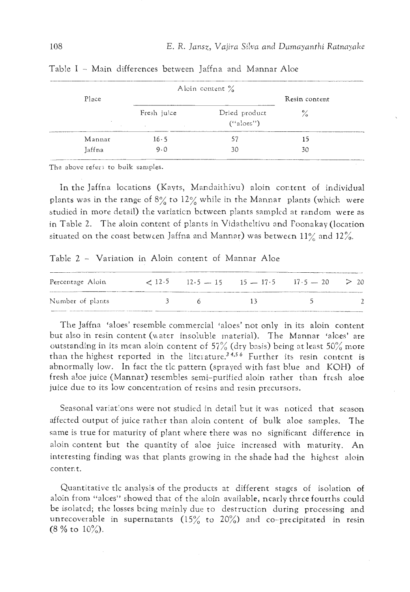|                           | Alcin content % |                            |                |  |
|---------------------------|-----------------|----------------------------|----------------|--|
| Place<br>$\sim$<br>$\sim$ |                 | Resin content              |                |  |
|                           | Fresh juice     | Dried product<br>("aloes") | $\frac{6}{10}$ |  |
| Mannar                    | 16.5            | 57                         | 15             |  |
| Jaffna                    | 9.0             | 30                         | 30             |  |

Table I - Main differences between Jaffna and Mannar Aloe

The above **refer?** to bulk samples.

In the Jaffna locations (Kayts, Mandaithivu) aloin content of individual plants was in the range of 8% to 12% while in the Mannar plants (which were studied in more detail) the variaticn bctween plants samplcd at random were as in Table 2. The aloin content of plants in Vidatheltivu and Foonakay (location situated on the coast betwcen Jaffna and Mannar) was betwecn 11% and **12%.** 

Table <sup>2</sup>- Variation in Aloin content of Mannar Aloe

| Percentage Aloin |           | $\leq 12.5$ $12.5$ $-15$ $15$ $-17.5$ $17.5$ $-20$ $>$ 20 |                                                                                                                                                                                                                               |  |
|------------------|-----------|-----------------------------------------------------------|-------------------------------------------------------------------------------------------------------------------------------------------------------------------------------------------------------------------------------|--|
| Number of plants | $\beta$ 6 |                                                           | and the state of the state of the state of the state of the state of the state of the state of the state of the state of the state of the state of the state of the state of the state of the state of the state of the state |  |

The Jaffna 'aloes' resemble commercial 'aloes' not only in its aloin content but also in resin content (water insoluble material). The Mannar 'alces' are outstanding in its mean aloin content of 57% (dry basis) being at least 50% more than the highest reported in the literature.<sup>34,56</sup> Further its resin content is abnormally low. In fact the tlc pattern (sprayed with fast blue and KOH) of fresh a!oe juice (Mannar) resemb!es semi-purified aloin rather than fresh aloe juice due to its low concentration of resins and resin precursors.

Seasonal variations were not studied in detail but it was noticed that season affected output of juice rather than aloin content of bulk aloe samples. The same is true for maturity of plant where there was no significant difference in aloin content but the quantity of aloe juice increased with maturity. An interesting finding was that plants growing in the shade had the highest aloin content.

Quantitative tlc analysis of the products at different stagcs of isolation of aloin from "aloes" showed that of the aloin available, nearly three fourths could be isolated; the losses bcing mainly due to destruction during processing and unrecoverable in supernatants  $(15\%$  to  $20\%)$  and co-precipitated in resin (8 % to  $10\%$ ).